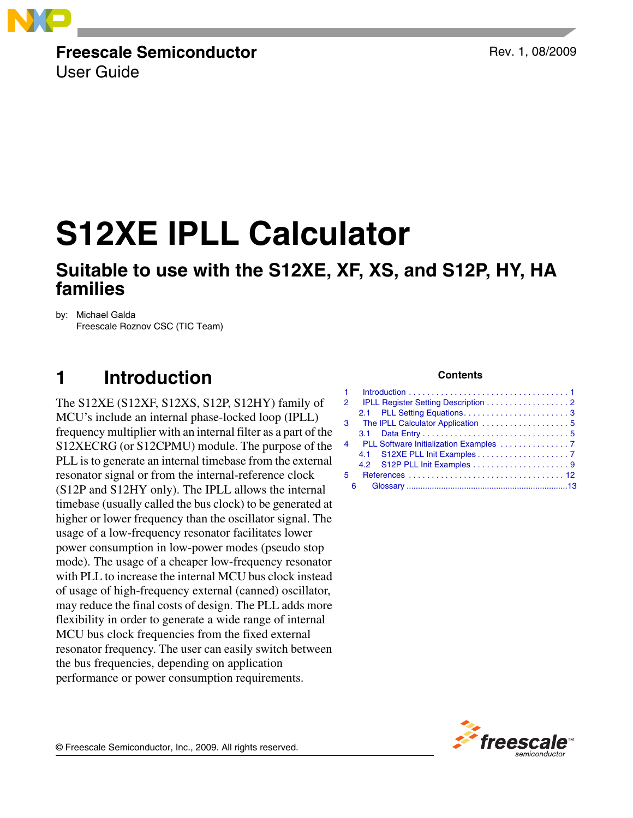

## **Freescale Semiconductor**

User Guide

Rev. 1, 08/2009

# **S12XE IPLL Calculator**

## **Suitable to use with the S12XE, XF, XS, and S12P, HY, HA families**

by: Michael Galda Freescale Roznov CSC (TIC Team)

## <span id="page-0-0"></span>**1 Introduction**

The S12XE (S12XF, S12XS, S12P, S12HY) family of MCU's include an internal phase-locked loop (IPLL) frequency multiplier with an internal filter as a part of the S12XECRG (or S12CPMU) module. The purpose of the PLL is to generate an internal timebase from the external resonator signal or from the internal-reference clock (S12P and S12HY only). The IPLL allows the internal timebase (usually called the bus clock) to be generated at higher or lower frequency than the oscillator signal. The usage of a low-frequency resonator facilitates lower power consumption in low-power modes (pseudo stop mode). The usage of a cheaper low-frequency resonator with PLL to increase the internal MCU bus clock instead of usage of high-frequency external (canned) oscillator, may reduce the final costs of design. The PLL adds more flexibility in order to generate a wide range of internal MCU bus clock frequencies from the fixed external resonator frequency. The user can easily switch between the bus frequencies, depending on application performance or power consumption requirements.

### **Contents**

| 1 <sup>1</sup> |                                            |
|----------------|--------------------------------------------|
| 2              | <b>IPLL Register Setting Description 2</b> |
|                |                                            |
|                | 3 The IPLL Calculator Application  5       |
|                |                                            |
| $\overline{4}$ | PLL Software Initialization Examples 7     |
|                |                                            |
|                |                                            |
| 5              |                                            |
| 6              |                                            |

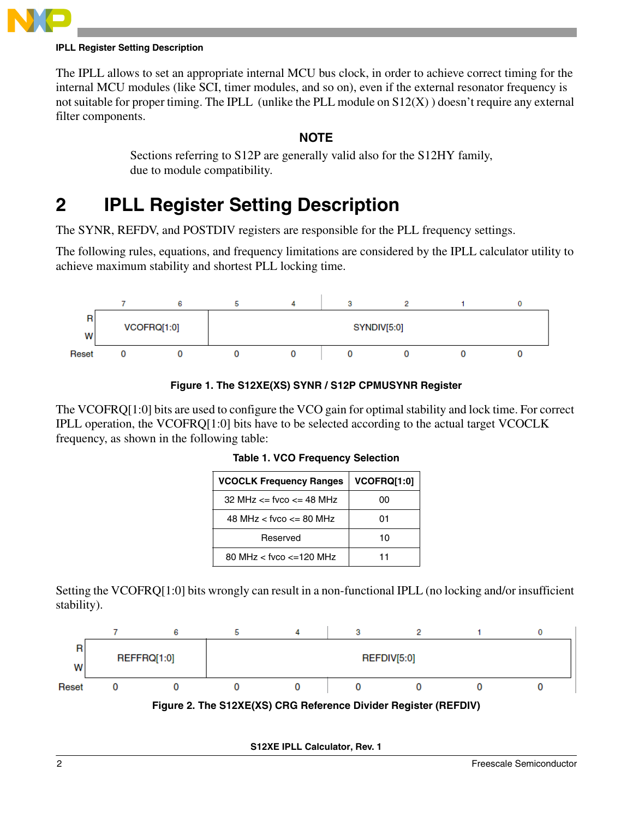

### **IPLL Register Setting Description**

The IPLL allows to set an appropriate internal MCU bus clock, in order to achieve correct timing for the internal MCU modules (like SCI, timer modules, and so on), even if the external resonator frequency is not suitable for proper timing. The IPLL (unlike the PLL module on S12(X) ) doesn't require any external filter components.

### **NOTE**

Sections referring to S12P are generally valid also for the S12HY family, due to module compatibility.

## <span id="page-1-0"></span>**2 IPLL Register Setting Description**

The SYNR, REFDV, and POSTDIV registers are responsible for the PLL frequency settings.

The following rules, equations, and frequency limitations are considered by the IPLL calculator utility to achieve maximum stability and shortest PLL locking time.





The VCOFRQ[1:0] bits are used to configure the VCO gain for optimal stability and lock time. For correct IPLL operation, the VCOFRQ[1:0] bits have to be selected according to the actual target VCOCLK frequency, as shown in the following table:

| <b>VCOCLK Frequency Ranges</b> | VCOFRQ[1:0] |
|--------------------------------|-------------|
| 32 MHz $\le$ fvco $\le$ 48 MHz | იი          |
| 48 MHz $<$ fvco $\leq$ 80 MHz  | 01          |
| Reserved                       | 10          |
| 80 MHz $<$ fyco $<=120$ MHz    | 11          |

### **Table 1. VCO Frequency Selection**

Setting the VCOFRQ[1:0] bits wrongly can result in a non-functional IPLL (no locking and/or insufficient stability).



**S12XE IPLL Calculator, Rev. 1**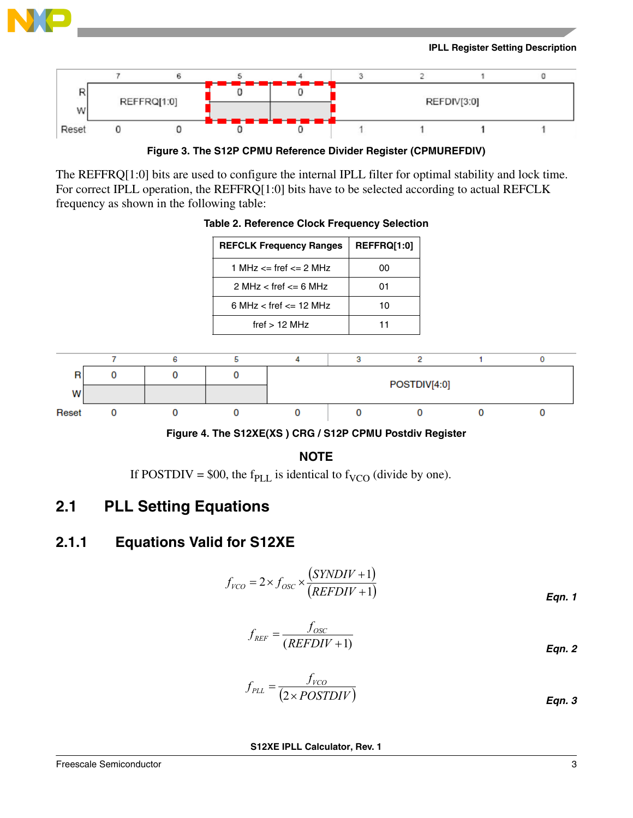

### **IPLL Register Setting Description**



**Figure 3. The S12P CPMU Reference Divider Register (CPMUREFDIV)**

The REFFRQ[1:0] bits are used to configure the internal IPLL filter for optimal stability and lock time. For correct IPLL operation, the REFFRQ[1:0] bits have to be selected according to actual REFCLK frequency as shown in the following table:



### **Table 2. Reference Clock Frequency Selection**

**REFCLK Frequency Ranges | REFFRQ[1:0]** 



### **NOTE**

If POSTDIV = \$00, the f<sub>PLL</sub> is identical to f<sub>VCO</sub> (divide by one).

## <span id="page-2-0"></span>**2.1 PLL Setting Equations**

### **2.1.1 Equations Valid for S12XE**

$$
f_{VCO} = 2 \times f_{OSC} \times \frac{(SYNDIV + 1)}{(REFDIV + 1)}
$$
Eqn. 1

$$
f_{REF} = \frac{f_{osc}}{(REFDIV + 1)}
$$
Eqn. 2

$$
f_{PLL} = \frac{f_{VCO}}{(2 \times POSTDIV)}
$$
Eqn. 3

**S12XE IPLL Calculator, Rev. 1**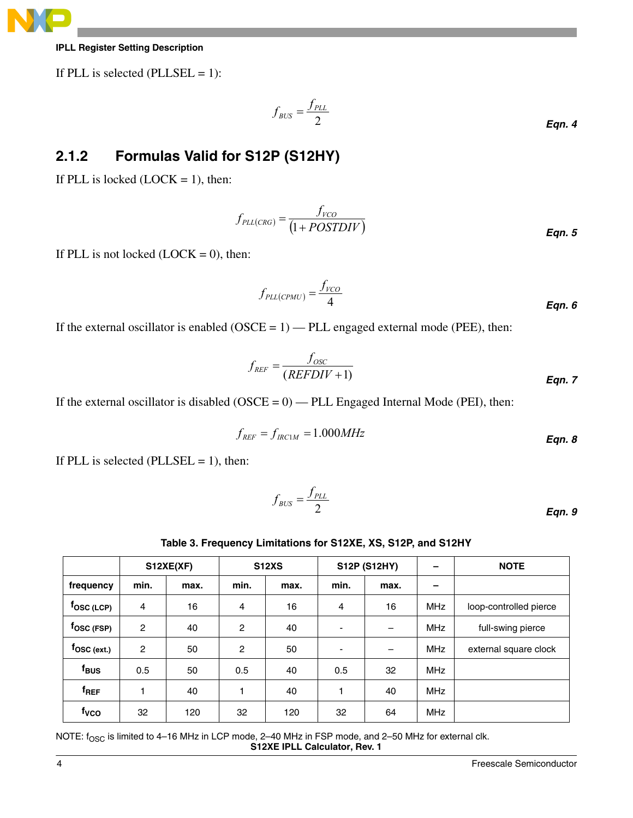

### **IPLL Register Setting Description**

If PLL is selected (PLLSEL  $= 1$ ):

$$
f_{\text{BUS}} = \frac{f_{\text{PLL}}}{2}
$$
Eqn. 4

## **2.1.2 Formulas Valid for S12P (S12HY)**

If PLL is locked  $(LOCK = 1)$ , then:

$$
f_{PLL(CRG)} = \frac{f_{VCO}}{(1 + POSTDIV)}
$$
Eqn. 5

If PLL is not locked  $(LOCK = 0)$ , then:

$$
f_{PLL(CPMU)} = \frac{f_{VCO}}{4}
$$
Eqn. 6

If the external oscillator is enabled  $(OSCE = 1)$  — PLL engaged external mode (PEE), then:

$$
f_{REF} = \frac{f_{osc}}{(REFDIV+1)}
$$
Eqn. 7

If the external oscillator is disabled  $(OSCE = 0)$  — PLL Engaged Internal Mode (PEI), then:

$$
f_{REF} = f_{IRC1M} = 1.000MHz
$$
Eqn. 8

If PLL is selected (PLLSEL  $= 1$ ), then:

$$
f_{\text{BUS}} = \frac{f_{\text{PLL}}}{2}
$$
Eqn. 9

### **Table 3. Frequency Limitations for S12XE, XS, S12P, and S12HY**

<span id="page-3-0"></span>

|                            | S12XE(XF)      |      |                | <b>S12P (S12HY)</b><br><b>S12XS</b> |                |      |            | <b>NOTE</b>            |
|----------------------------|----------------|------|----------------|-------------------------------------|----------------|------|------------|------------------------|
| frequency                  | min.           | max. | min.           | max.                                | min.           | max. |            |                        |
| $f_{\rm{OSC\,(LCP)}}$      | $\overline{4}$ | 16   | 4              | 16                                  | $\overline{4}$ | 16   | <b>MHz</b> | loop-controlled pierce |
| $f_{\rm{OSC}}$ (FSP)       | $\overline{c}$ | 40   | $\overline{c}$ | 40                                  | -              | –    | <b>MHz</b> | full-swing pierce      |
| $f_{\mathsf{OSC\,(ext.)}}$ | $\overline{c}$ | 50   | $\overline{c}$ | 50                                  | ۰              | -    | <b>MHz</b> | external square clock  |
| f <sub>BUS</sub>           | 0.5            | 50   | 0.5            | 40                                  | 0.5            | 32   | <b>MHz</b> |                        |
| f <sub>REF</sub>           | 1              | 40   | 1              | 40                                  |                | 40   | <b>MHz</b> |                        |
| f <sub>vco</sub>           | 32             | 120  | 32             | 120                                 | 32             | 64   | <b>MHz</b> |                        |

**S12XE IPLL Calculator, Rev. 1** NOTE:  $f_{\rm OSC}$  is limited to 4–16 MHz in LCP mode, 2–40 MHz in FSP mode, and 2–50 MHz for external clk.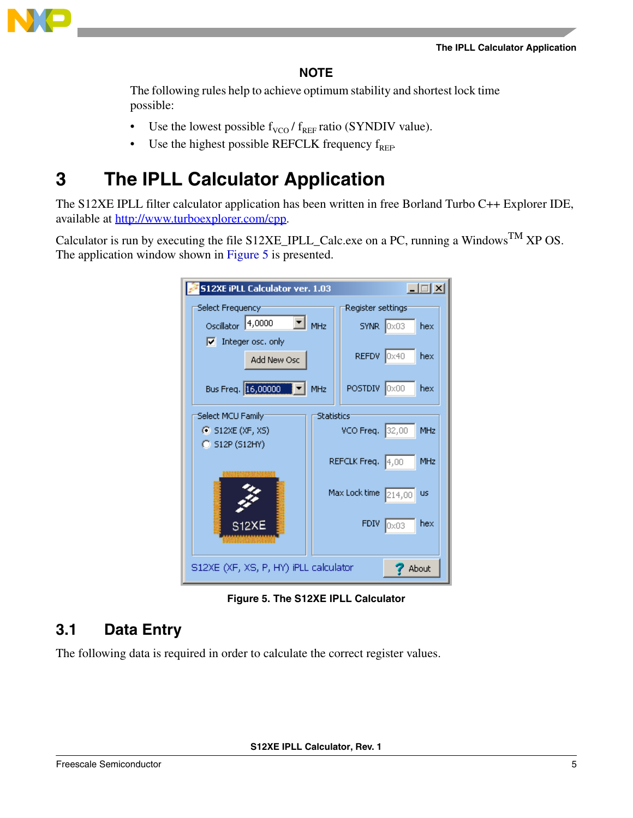

### **NOTE**

The following rules help to achieve optimum stability and shortest lock time possible:

- Use the lowest possible  $f_{VCO}$  /  $f_{REF}$  ratio (SYNDIV value).
- Use the highest possible REFCLK frequency  $f_{REF}$ .

## <span id="page-4-0"></span>**3 The IPLL Calculator Application**

The S12XE IPLL filter calculator application has been written in free Borland Turbo C++ Explorer IDE, available at http://www.turboexplorer.com/cpp.

Calculator is run by executing the file S12XE\_IPLL\_Calc.exe on a PC, running a Windows<sup>TM</sup> XP OS. The application window shown in [Figure 5](#page-4-2) is presented.

| <b>S12XE iPLL Calculator ver. 1.03</b><br>∃l × |                   |                      |                        |            |
|------------------------------------------------|-------------------|----------------------|------------------------|------------|
| Select Frequency:                              |                   | Register settings:   |                        |            |
| $\blacksquare$ MHz<br>4,0000<br>Oscillator     |                   |                      | $SYNR$ $ 0 \times 03 $ | hex        |
| $\nabla$ Integer osc. only                     |                   |                      |                        |            |
| Add New Osc                                    |                   | REFDV 0x40           |                        | hex        |
|                                                |                   |                      |                        |            |
| Bus Freq. 16,00000   V   MHz                   |                   | POSTDIV 0x00         |                        | hex        |
| Select MCU Family:                             | <b>Statistics</b> |                      |                        |            |
| $\bullet$ S12XE (XF, XS)                       |                   | VCO Freq. 32,00      |                        | MHz        |
| $C$ S12P (S12HY)                               |                   |                      |                        |            |
|                                                |                   | REFCLK Freq. 4,00    |                        | <b>MHz</b> |
|                                                |                   |                      |                        |            |
|                                                |                   | Max Lock time 214,00 |                        | <b>US</b>  |
| <b>S12XE</b>                                   |                   | <b>FDIV</b>          | Ox03                   | hex        |
|                                                |                   |                      |                        |            |
|                                                |                   |                      |                        |            |
| S12XE (XF, XS, P, HY) iPLL calculator<br>About |                   |                      |                        |            |

**Figure 5. The S12XE IPLL Calculator**

## <span id="page-4-2"></span><span id="page-4-1"></span>**3.1 Data Entry**

The following data is required in order to calculate the correct register values.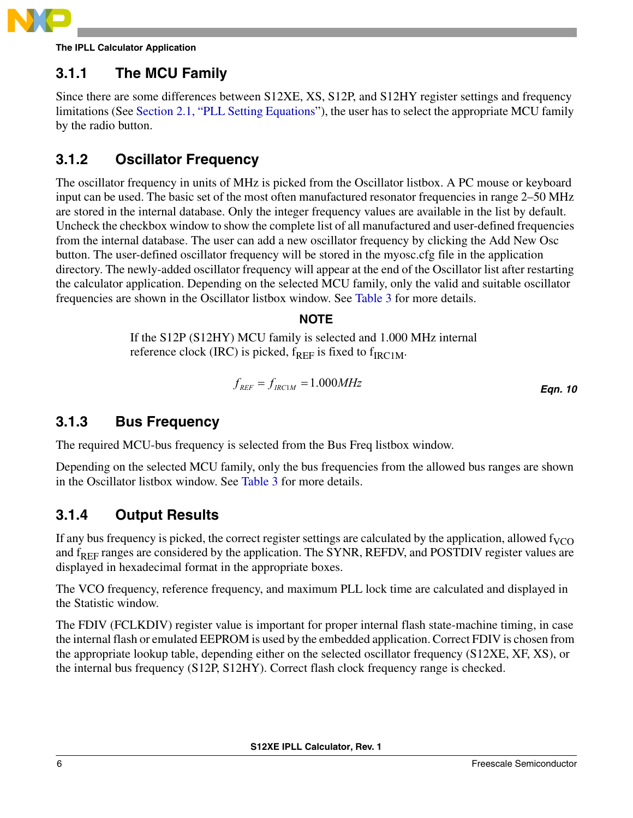

**The IPLL Calculator Application**

## **3.1.1 The MCU Family**

Since there are some differences between S12XE, XS, S12P, and S12HY register settings and frequency limitations (See [Section 2.1, "PLL Setting Equations](#page-2-0)"), the user has to select the appropriate MCU family by the radio button.

## **3.1.2 Oscillator Frequency**

The oscillator frequency in units of MHz is picked from the Oscillator listbox. A PC mouse or keyboard input can be used. The basic set of the most often manufactured resonator frequencies in range 2–50 MHz are stored in the internal database. Only the integer frequency values are available in the list by default. Uncheck the checkbox window to show the complete list of all manufactured and user-defined frequencies from the internal database. The user can add a new oscillator frequency by clicking the Add New Osc button. The user-defined oscillator frequency will be stored in the myosc.cfg file in the application directory. The newly-added oscillator frequency will appear at the end of the Oscillator list after restarting the calculator application. Depending on the selected MCU family, only the valid and suitable oscillator frequencies are shown in the Oscillator listbox window. See [Table 3](#page-3-0) for more details.

### **NOTE**

If the S12P (S12HY) MCU family is selected and 1.000 MHz internal reference clock (IRC) is picked,  $f_{REF}$  is fixed to  $f_{IRC1M}$ .

$$
f_{REF} = f_{IRC1M} = 1.000 MHz
$$
Eqn. 10

## **3.1.3 Bus Frequency**

The required MCU-bus frequency is selected from the Bus Freq listbox window.

Depending on the selected MCU family, only the bus frequencies from the allowed bus ranges are shown in the Oscillator listbox window. See [Table 3](#page-3-0) for more details.

## **3.1.4 Output Results**

If any bus frequency is picked, the correct register settings are calculated by the application, allowed  $f_{VCO}$ and f<sub>REF</sub> ranges are considered by the application. The SYNR, REFDV, and POSTDIV register values are displayed in hexadecimal format in the appropriate boxes.

The VCO frequency, reference frequency, and maximum PLL lock time are calculated and displayed in the Statistic window.

The FDIV (FCLKDIV) register value is important for proper internal flash state-machine timing, in case the internal flash or emulated EEPROM is used by the embedded application. Correct FDIV is chosen from the appropriate lookup table, depending either on the selected oscillator frequency (S12XE, XF, XS), or the internal bus frequency (S12P, S12HY). Correct flash clock frequency range is checked.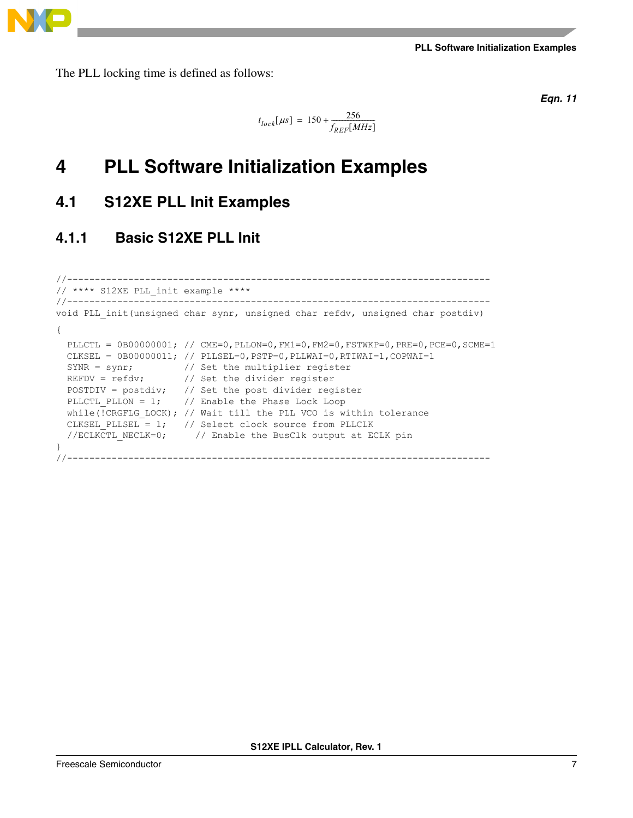The PLL locking time is defined as follows:

*Eqn. 11*

$$
t_{lock}[\mu s]=150+\frac{256}{f_{REF}[MHz]}
$$

## <span id="page-6-0"></span>**4 PLL Software Initialization Examples**

## <span id="page-6-1"></span>**4.1 S12XE PLL Init Examples**

## **4.1.1 Basic S12XE PLL Init**

```
//----------------------------------------------------------------------------
// **** S12XE PLL_init example ****
//----------------------------------------------------------------------------
void PLL_init(unsigned char synr, unsigned char refdv, unsigned char postdiv)
{
 PLLCTL = 0B00000001; // CME=0, PLLON=0, FM1=0, FM2=0, FSTWKP=0, PRE=0, PCE=0, SCME=1
 CLKSEL = 0B00000011; // PLLSEL=0, PSTP=0, PLLWAI=0, RTIWAI=1, COPWAI=1
SYNR = synr; \frac{1}{2} // Set the multiplier register
REFDV = refdv; \frac{1}{2} // Set the divider register
  POSTDIV = postdiv; // Set the post divider register
 PLLCTL PLLON = 1; // Enable the Phase Lock Loop
 while(!CRGFLG LOCK); // Wait till the PLL VCO is within tolerance
CLKSEL PLLSEL = 1; // Select clock source from PLLCLK
 //ECLKCTL_NECLK=0; // Enable the BusClk output at ECLK pin
}
//----------------------------------------------------------------------------
```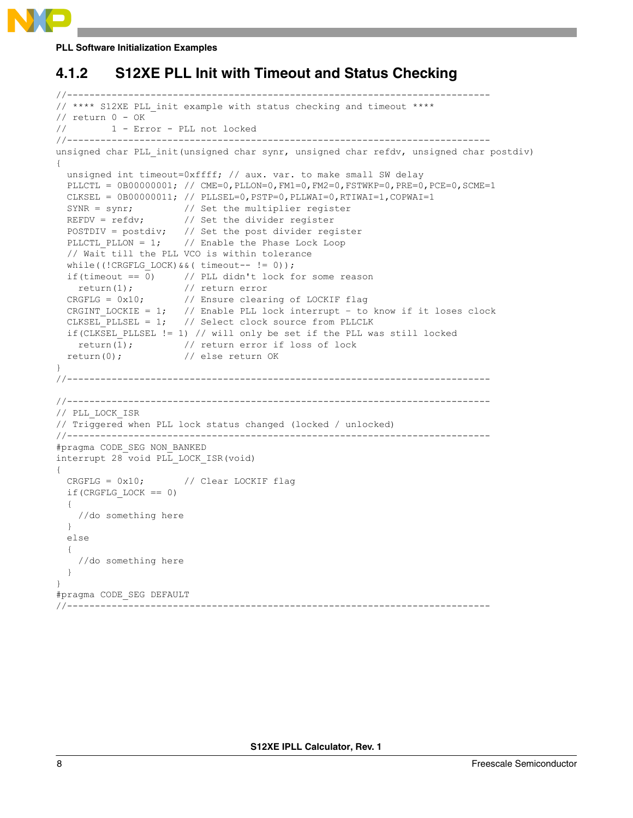

## **4.1.2 S12XE PLL Init with Timeout and Status Checking**

```
//----------------------------------------------------------------------------
// **** S12XE PLL_init example with status checking and timeout ****
// return 0 - OK// 1 - Error - PLL not locked
//----------------------------------------------------------------------------
unsigned char PLL init(unsigned char synr, unsigned char refdv, unsigned char postdiv)
{
  unsigned int timeout=0xffff; // aux. var. to make small SW delay
 PLLCTL = 0B00000001; // CME=0, PLLON=0, FM1=0, FM2=0, FSTWKP=0, PRE=0, PCE=0, SCME=1
 CLKSEL = 0B00000011; // PLLSEL=0, PSTP=0, PLLWAI=0, RTIWAI=1, COPWAI=1
 SYNR = synr; \frac{1}{2} // Set the multiplier register
 REFDV = refdv; // Set the divider register
  POSTDIV = postdiv; // Set the post divider register
 PLLCTL PLLON = 1; // Enable the Phase Lock Loop
   // Wait till the PLL VCO is within tolerance
 while((!CRGFLG LOCK)&&( timeout-- != 0));
 if(timeout == 0) \qquad // PLL didn't lock for some reason
    return(1); // return error
  CRGFLG = 0x10; // Ensure clearing of LOCKIF flag
CRGINT LOCKIE = 1; // Enable PLL lock interrupt – to know if it loses clock
 CLKSEL_PLLSEL = 1; // Select clock source from PLLCLK
   if(CLKSEL_PLLSEL != 1) // will only be set if the PLL was still locked
   return(1); \frac{1}{1} // return error if loss of lock
  return(0); // else return OK
}
//----------------------------------------------------------------------------
//----------------------------------------------------------------------------
// PLL_LOCK_ISR
// Triggered when PLL lock status changed (locked / unlocked)
//----------------------------------------------------------------------------
#pragma CODE_SEG NON_BANKED
interrupt 28 void PLL_LOCK_ISR(void)
{ 
  CRGFLG = 0x10; // Clear LOCKIF flag
 if(CRGFLG LOCK == 0) {
    //do something here
   }
  else
   {
    //do something here
 }
}
#pragma CODE_SEG DEFAULT
//----------------------------------------------------------------------------
```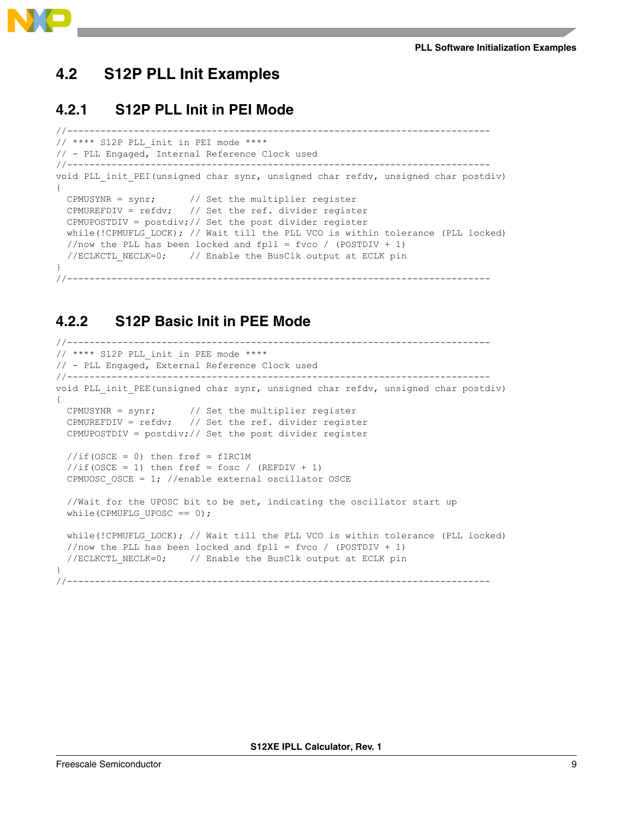

## <span id="page-8-0"></span>**4.2 S12P PLL Init Examples**

### **4.2.1 S12P PLL Init in PEI Mode**

```
//----------------------------------
// **** S12P PLL_init in PEI mode ****
// - PLL Engaged, Internal Reference Clock used
//----------------------------------------------------------------------------
void PLL init PEI(unsigned char synr, unsigned char refdv, unsigned char postdiv)
{
  CPMUSYNR = synr; // Set the multiplier register
  CPMUREFDIV = refdv; // Set the ref. divider register
  CPMUPOSTDIV = postdiv;// Set the post divider register
 while(!CPMUFLG LOCK); // Wait till the PLL VCO is within tolerance (PLL locked)
  //now the PLL has been locked and fpll = fvco / (POSTDIV + 1)
  //ECLKCTL NECLK=0; // Enable the BusClk output at ECLK pin
}
//----------------------------------------------------------------------------
```
### **4.2.2 S12P Basic Init in PEE Mode**

```
//----------------------------------------------------------------------------
// **** S12P PLL_init in PEE mode **** 
// - PLL Engaged, External Reference Clock used
//----------------------------------------------------------------------------
void PLL init PEE(unsigned char synr, unsigned char refdv, unsigned char postdiv)
{
  CPMUSYNR = synr; // Set the multiplier register
 CPMUREFDIV = refdv; // Set the ref. divider register
  CPMUPOSTDIV = postdiv;// Set the post divider register
 //if(OSCE = 0) then fref = fIRC1M//if(OSCE = 1) then fref = fosc / (REFDIV + 1)CPMUOSC OSCE = 1; //enable external oscillator OSCE
   //Wait for the UPOSC bit to be set, indicating the oscillator start up
 while(CPMUFLG UPOSC == 0);
 while(!CPMUFLG LOCK); // Wait till the PLL VCO is within tolerance (PLL locked)
 //now the PLL has been locked and fpll = fvco / (POSTDIV + 1)
 //ECLKCTL NECLK=0; \frac{1}{2} // Enable the BusClk output at ECLK pin
}
//----------------------------------------------------------------------------
```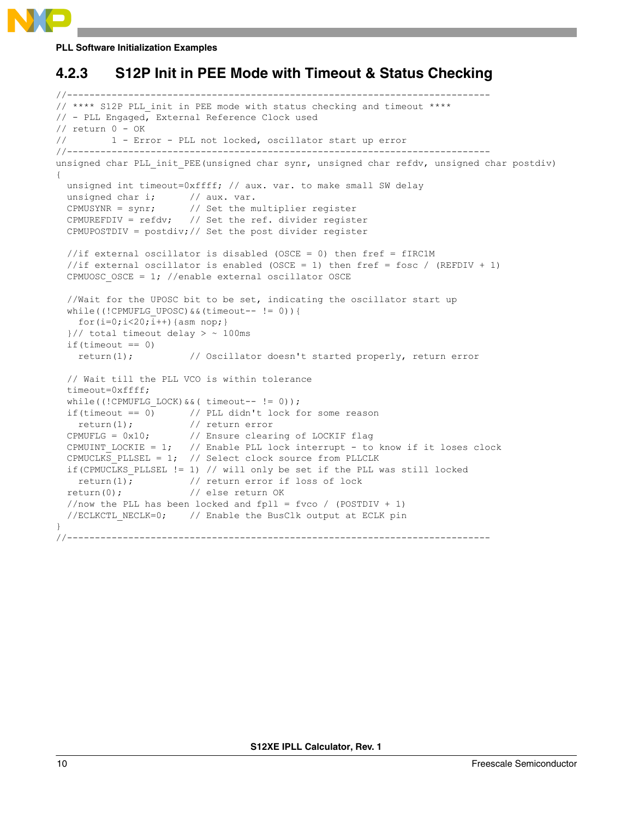## **4.2.3 S12P Init in PEE Mode with Timeout & Status Checking**

```
//----------------------------------------------------------------------------
// **** S12P PLL init in PEE mode with status checking and timeout ****
// - PLL Engaged, External Reference Clock used
// return 0 - OK
// 1 - Error - PLL not locked, oscillator start up error
//----------------------------------------------------------------------------
unsigned char PLL init PEE(unsigned char synr, unsigned char refdv, unsigned char postdiv)
{
  unsigned int timeout=0xffff; // aux. var. to make small SW delay
 unsigned char i; // aux. var.
  CPMUSYNR = synr; // Set the multiplier register
  CPMUREFDIV = refdv; // Set the ref. divider register
  CPMUPOSTDIV = postdiv;// Set the post divider register
 //if external oscillator is disabled (OSCE = 0) then fref = fIRC1M
  //if external oscillator is enabled (OSCE = 1) then fref = fosc / (REFDIV + 1)
 CPMUOSC OSCE = 1; //enable external oscillator OSCE
   //Wait for the UPOSC bit to be set, indicating the oscillator start up
 while((!CPMUFLG_UPOSC) &&&&&(timeout-- != 0)) {
   for(i=0;i<20;i++){asm nop;}
  \frac{1}{2} total timeout delay > ~ 100ms
  if(timeout == 0) return(1); // Oscillator doesn't started properly, return error
   // Wait till the PLL VCO is within tolerance
   timeout=0xffff;
 while((!CPMUFLG LOCK)&&( timeout-- != 0));
  if(timeout == 0) // PLL didn't lock for some reason
    return(1); // return error
  CPMUFLG = 0x10; // Ensure clearing of LOCKIF flag
  CPMUINT_LOCKIE = 1; // Enable PLL lock interrupt - to know if it loses clock
   CPMUCLKS_PLLSEL = 1; // Select clock source from PLLCLK
   if(CPMUCLKS_PLLSEL != 1) // will only be set if the PLL was still locked
   return(1); \frac{1}{1} // return error if loss of lock
 return(0); \frac{1}{2} // else return OK
  //now the PLL has been locked and fpll = fvco / (POSTDIV + 1)
  //ECLKCTL NECLK=0; \frac{1}{2} // Enable the BusClk output at ECLK pin
}
//----------------------------------------------------------------------------
```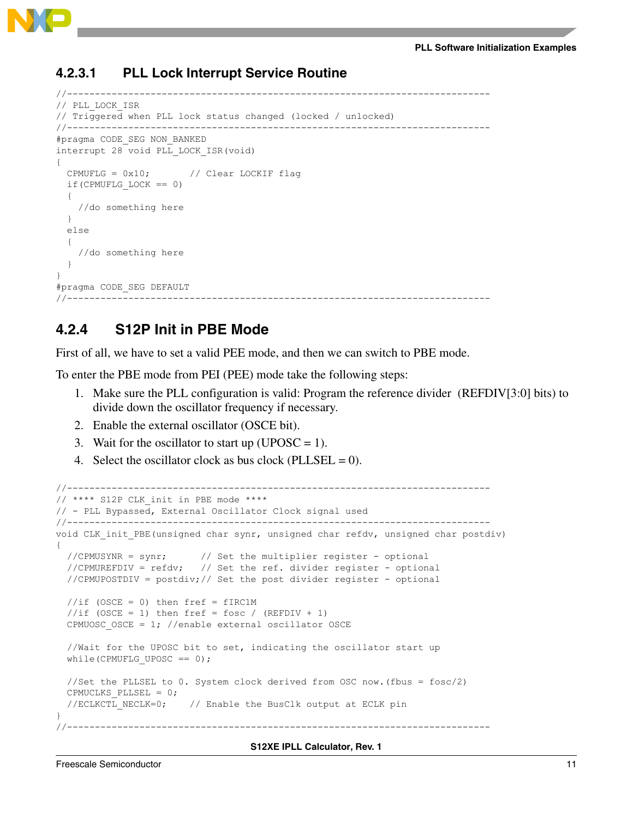

### **4.2.3.1 PLL Lock Interrupt Service Routine**

```
//----------------------------------------------------------------------------
// PLL_LOCK_ISR
// Triggered when PLL lock status changed (locked / unlocked)
//----------------------------------------------------------------------------
#pragma CODE_SEG NON_BANKED
interrupt 28 void PLL_LOCK_ISR(void)
{ 
   CPMUFLG = 0x10; // Clear LOCKIF flag
  if(CPMUFLG LOCK == 0)\{ //do something here
   }
   else
   {
     //do something here
   }
}
#pragma CODE_SEG DEFAULT
                                          //----------------------------------------------------------------------------
```
### **4.2.4 S12P Init in PBE Mode**

First of all, we have to set a valid PEE mode, and then we can switch to PBE mode.

To enter the PBE mode from PEI (PEE) mode take the following steps:

- 1. Make sure the PLL configuration is valid: Program the reference divider (REFDIV[3:0] bits) to divide down the oscillator frequency if necessary.
- 2. Enable the external oscillator (OSCE bit).
- 3. Wait for the oscillator to start up (UPOSC = 1).
- 4. Select the oscillator clock as bus clock (PLLSEL =  $0$ ).

```
//----------------------------------------------------------------------------
// **** S12P CLK_init in PBE mode **** 
// - PLL Bypassed, External Oscillator Clock signal used
//----------------------------------------------------------------------------
void CLK init PBE(unsigned char synr, unsigned char refdv, unsigned char postdiv)
{
   //CPMUSYNR = synr; // Set the multiplier register - optional
   //CPMUREFDIV = refdv; // Set the ref. divider register - optional
   //CPMUPOSTDIV = postdiv;// Set the post divider register - optional
  //if (OSCE = 0) then firef = fIRC1M//if (OSCE = 1) then fref = fosc / (REFDIV + 1)CPMUOSC OSCE = 1; //enable external oscillator OSCE
   //Wait for the UPOSC bit to set, indicating the oscillator start up
 while(CPMUFLG_UPOSC == 0);
   //Set the PLLSEL to 0. System clock derived from OSC now.(fbus = fosc/2)
  CPMUCLKS_PLLSEL = 0;
  //ECLKCTL NECLK=0; // Enable the BusClk output at ECLK pin
}
//----------------------------------------------------------------------------
```
### **S12XE IPLL Calculator, Rev. 1**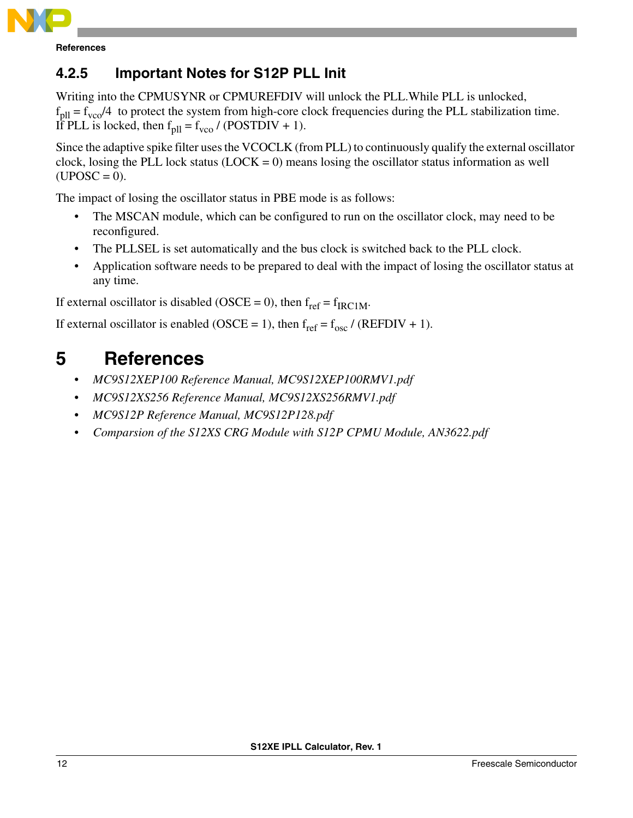

**References**

## **4.2.5 Important Notes for S12P PLL Init**

Writing into the CPMUSYNR or CPMUREFDIV will unlock the PLL.While PLL is unlocked,  $f<sub>pll</sub> = f<sub>vco</sub>/4$  to protect the system from high-core clock frequencies during the PLL stabilization time. If PLL is locked, then  $f<sub>pl</sub> = f<sub>vco</sub>$  / (POSTDIV + 1).

Since the adaptive spike filter uses the VCOCLK (from PLL) to continuously qualify the external oscillator clock, losing the PLL lock status  $(LOCK = 0)$  means losing the oscillator status information as well  $(UPOSC = 0)$ .

The impact of losing the oscillator status in PBE mode is as follows:

- The MSCAN module, which can be configured to run on the oscillator clock, may need to be reconfigured.
- The PLLSEL is set automatically and the bus clock is switched back to the PLL clock.
- Application software needs to be prepared to deal with the impact of losing the oscillator status at any time.

If external oscillator is disabled (OSCE = 0), then  $f_{ref} = f_{IRC1M}$ .

If external oscillator is enabled (OSCE = 1), then  $f_{ref} = f_{osc} / (REFDIV + 1)$ .

## <span id="page-11-0"></span>**5 References**

- *MC9S12XEP100 Reference Manual, MC9S12XEP100RMV1.pdf*
- *MC9S12XS256 Reference Manual, MC9S12XS256RMV1.pdf*
- *MC9S12P Reference Manual, MC9S12P128.pdf*
- *Comparsion of the S12XS CRG Module with S12P CPMU Module, AN3622.pdf*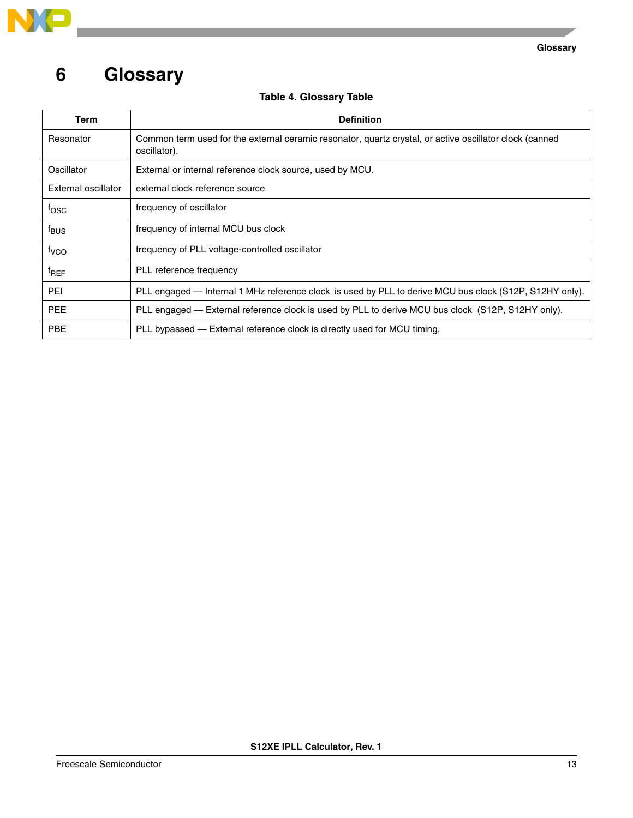

## <span id="page-12-0"></span>**6 Glossary**

 $\overline{\phantom{a}}$ 

|  | <b>Table 4. Glossary Table</b> |  |
|--|--------------------------------|--|
|--|--------------------------------|--|

| Term                | <b>Definition</b>                                                                                                       |
|---------------------|-------------------------------------------------------------------------------------------------------------------------|
| Resonator           | Common term used for the external ceramic resonator, quartz crystal, or active oscillator clock (canned<br>oscillator). |
| Oscillator          | External or internal reference clock source, used by MCU.                                                               |
| External oscillator | external clock reference source                                                                                         |
| $f_{\rm OSC}$       | frequency of oscillator                                                                                                 |
| $f_{\text{BUS}}$    | frequency of internal MCU bus clock                                                                                     |
| $f_{VCO}$           | frequency of PLL voltage-controlled oscillator                                                                          |
| $f_{REF}$           | PLL reference frequency                                                                                                 |
| <b>PEI</b>          | PLL engaged — Internal 1 MHz reference clock is used by PLL to derive MCU bus clock (S12P, S12HY only).                 |
| <b>PEE</b>          | PLL engaged — External reference clock is used by PLL to derive MCU bus clock (S12P, S12HY only).                       |
| <b>PBE</b>          | PLL bypassed — External reference clock is directly used for MCU timing.                                                |